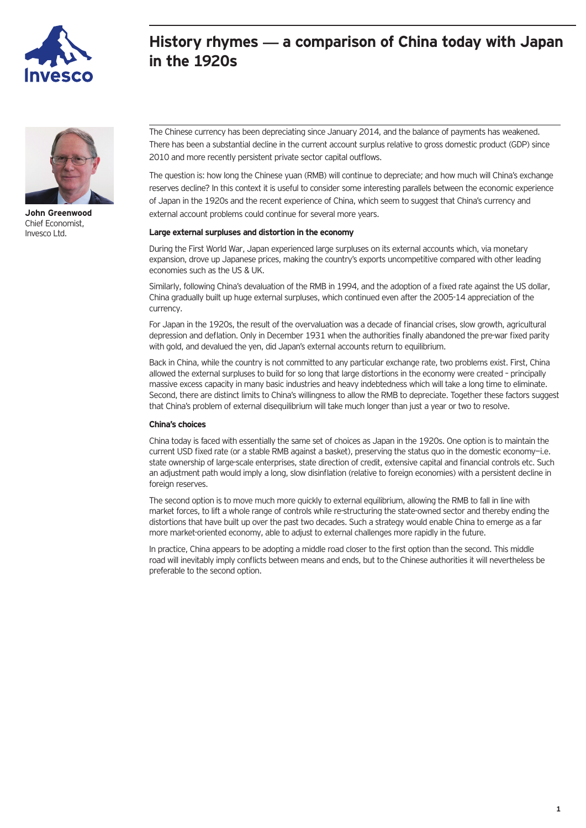

## **History rhymes — a comparison of China today with Japan in the 1920s**



**John Greenwood** Chief Economist, Invesco Ltd.

The Chinese currency has been depreciating since January 2014, and the balance of payments has weakened. There has been a substantial decline in the current account surplus relative to gross domestic product (GDP) since 2010 and more recently persistent private sector capital outflows.

The question is: how long the Chinese yuan (RMB) will continue to depreciate; and how much will China's exchange reserves decline? In this context it is useful to consider some interesting parallels between the economic experience of Japan in the 1920s and the recent experience of China, which seem to suggest that China's currency and external account problems could continue for several more years.

## **Large external surpluses and distortion in the economy**

During the First World War, Japan experienced large surpluses on its external accounts which, via monetary expansion, drove up Japanese prices, making the country's exports uncompetitive compared with other leading economies such as the US & UK.

Similarly, following China's devaluation of the RMB in 1994, and the adoption of a fixed rate against the US dollar, China gradually built up huge external surpluses, which continued even after the 2005-14 appreciation of the currency.

For Japan in the 1920s, the result of the overvaluation was a decade of financial crises, slow growth, agricultural depression and deflation. Only in December 1931 when the authorities finally abandoned the pre-war fixed parity with gold, and devalued the yen, did Japan's external accounts return to equilibrium.

Back in China, while the country is not committed to any particular exchange rate, two problems exist. First, China allowed the external surpluses to build for so long that large distortions in the economy were created – principally massive excess capacity in many basic industries and heavy indebtedness which will take a long time to eliminate. Second, there are distinct limits to China's willingness to allow the RMB to depreciate. Together these factors suggest that China's problem of external disequilibrium will take much longer than just a year or two to resolve.

## **China's choices**

China today is faced with essentially the same set of choices as Japan in the 1920s. One option is to maintain the current USD fixed rate (or a stable RMB against a basket), preserving the status quo in the domestic economy-i.e. state ownership of large-scale enterprises, state direction of credit, extensive capital and financial controls etc. Such an adjustment path would imply a long, slow disinflation (relative to foreign economies) with a persistent decline in foreign reserves.

The second option is to move much more quickly to external equilibrium, allowing the RMB to fall in line with market forces, to lift a whole range of controls while re-structuring the state-owned sector and thereby ending the distortions that have built up over the past two decades. Such a strategy would enable China to emerge as a far more market-oriented economy, able to adjust to external challenges more rapidly in the future.

In practice, China appears to be adopting a middle road closer to the first option than the second. This middle road will inevitably imply conflicts between means and ends, but to the Chinese authorities it will nevertheless be preferable to the second option.